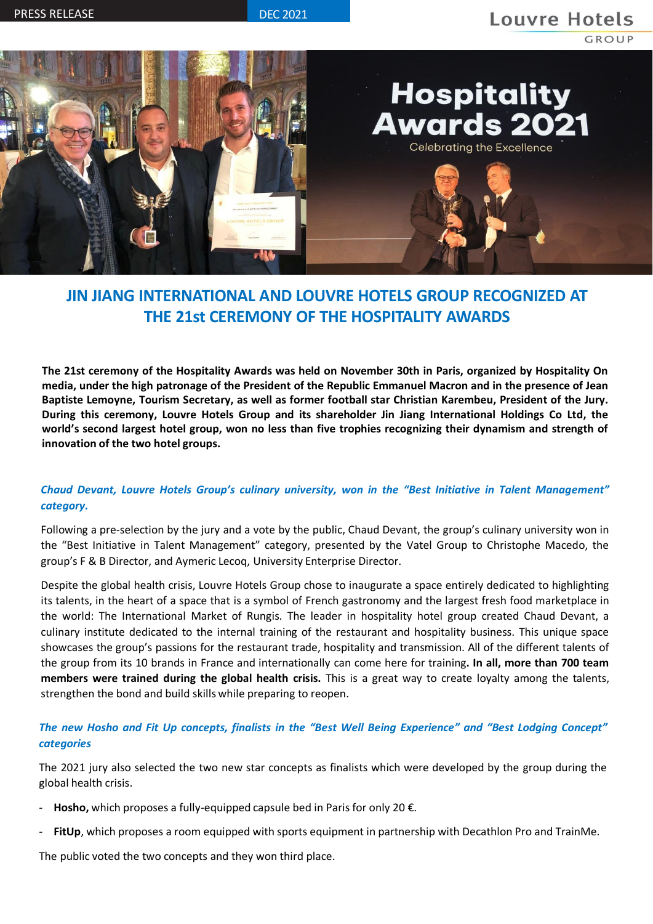**Louvre Hotels** GROUP



# **JIN JIANG INTERNATIONAL AND LOUVRE HOTELS GROUP RECOGNIZED AT THE 21st CEREMONY OF THE HOSPITALITY AWARDS**

The 21st ceremony of the Hospitality Awards was held on November 30th in Paris, organized by Hospitality On media, under the high patronage of the President of the Republic Emmanuel Macron and in the presence of Jean **Baptiste Lemoyne, Tourism Secretary, as well as former football star Christian Karembeu, President of the Jury. During this ceremony, Louvre Hotels Group and its shareholder Jin Jiang International Holdings Co Ltd, the** world's second largest hotel group, won no less than five trophies recognizing their dynamism and strength of **innovation of the two hotel groups.**

#### *Chaud Devant, Louvre Hotels Group's culinary university, won in the "Best Initiative in Talent Management" category.*

Following a pre-selection by the jury and a vote by the public, Chaud Devant, the group's culinary university won in the "Best Initiative in Talent Management" category, presented by the Vatel Group to Christophe Macedo, the group's F & B Director, and Aymeric Lecoq, University Enterprise Director.

Despite the global health crisis, Louvre Hotels Group chose to inaugurate a space entirely dedicated to highlighting its talents, in the heart of a space that is a symbol of French gastronomy and the largest fresh food marketplace in the world: The International Market of Rungis. The leader in hospitality hotel group created Chaud Devant, a culinary institute dedicated to the internal training of the restaurant and hospitality business. This unique space showcases the group's passions for the restaurant trade, hospitality and transmission. All of the different talents of the group from its 10 brands in France and internationally can come here for training**. In all, more than 700 team members were trained during the global health crisis.** This is a great way to create loyalty among the talents, strengthen the bond and build skills while preparing to reopen.

### The new Hosho and Fit Up concepts, finalists in the "Best Well Being Experience" and "Best Lodging Concept" *categories*

The 2021 jury also selected the two new star concepts as finalists which were developed by the group during the global health crisis.

- Hosho, which proposes a fully-equipped capsule bed in Paris for only 20 €.
- **FitUp**, which proposes a room equipped with sports equipment in partnership with Decathlon Pro and TrainMe.

The public voted the two concepts and they won third place.